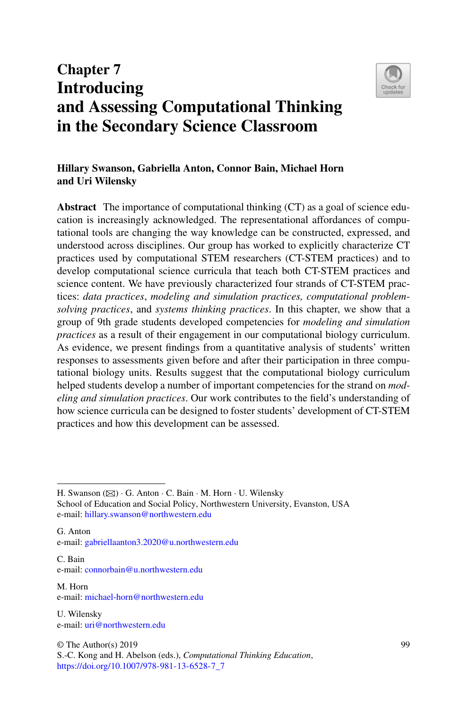# **Chapter 7 Introducing and Assessing Computational Thinking in the Secondary Science Classroom**



# **Hillary Swanson, Gabriella Anton, Connor Bain, Michael Horn and Uri Wilensky**

**Abstract** The importance of computational thinking (CT) as a goal of science education is increasingly acknowledged. The representational affordances of computational tools are changing the way knowledge can be constructed, expressed, and understood across disciplines. Our group has worked to explicitly characterize CT practices used by computational STEM researchers (CT-STEM practices) and to develop computational science curricula that teach both CT-STEM practices and science content. We have previously characterized four strands of CT-STEM practices: *data practices*, *modeling and simulation practices, computational problemsolving practices*, and *systems thinking practices*. In this chapter, we show that a group of 9th grade students developed competencies for *modeling and simulation practices* as a result of their engagement in our computational biology curriculum. As evidence, we present findings from a quantitative analysis of students' written responses to assessments given before and after their participation in three computational biology units. Results suggest that the computational biology curriculum helped students develop a number of important competencies for the strand on *modeling and simulation practices*. Our work contributes to the field's understanding of how science curricula can be designed to foster students' development of CT-STEM practices and how this development can be assessed.

G. Anton e-mail: [gabriellaanton3.2020@u.northwestern.edu](mailto:gabriellaanton3.2020@u.northwestern.edu)

C. Bain e-mail: [connorbain@u.northwestern.edu](mailto:connorbain@u.northwestern.edu)

M. Horn e-mail: [michael-horn@northwestern.edu](mailto:michael-horn@northwestern.edu)

U. Wilensky e-mail: [uri@northwestern.edu](mailto:uri@northwestern.edu)

H. Swanson  $(\boxtimes) \cdot G$ . Anton  $\cdot C$ . Bain  $\cdot M$ . Horn  $\cdot U$ . Wilensky School of Education and Social Policy, Northwestern University, Evanston, USA e-mail: [hillary.swanson@northwestern.edu](mailto:hillary.swanson@northwestern.edu)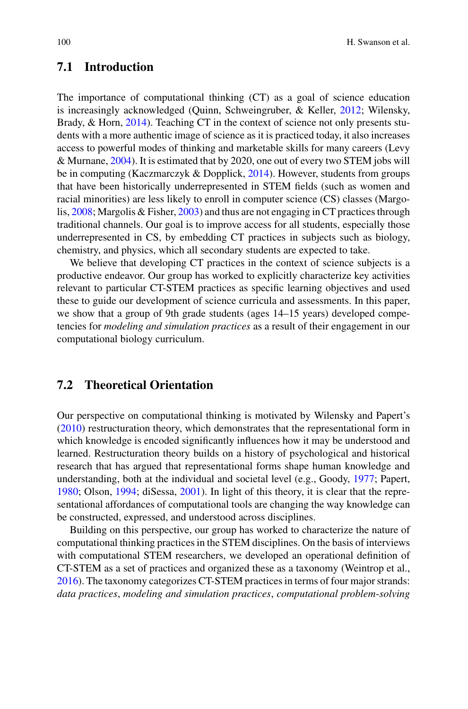# **7.1 Introduction**

The importance of computational thinking (CT) as a goal of science education is increasingly acknowledged (Quinn, Schweingruber, & Keller, [2012;](#page-17-0) Wilensky, Brady, & Horn, [2014\)](#page-17-1). Teaching CT in the context of science not only presents students with a more authentic image of science as it is practiced today, it also increases access to powerful modes of thinking and marketable skills for many careers (Levy & Murnane, [2004\)](#page-16-0). It is estimated that by 2020, one out of every two STEM jobs will be in computing (Kaczmarczyk & Dopplick, [2014\)](#page-16-1). However, students from groups that have been historically underrepresented in STEM fields (such as women and racial minorities) are less likely to enroll in computer science (CS) classes (Margolis, [2008;](#page-16-2) Margolis & Fisher, [2003\)](#page-16-3) and thus are not engaging in CT practices through traditional channels. Our goal is to improve access for all students, especially those underrepresented in CS, by embedding CT practices in subjects such as biology, chemistry, and physics, which all secondary students are expected to take.

We believe that developing CT practices in the context of science subjects is a productive endeavor. Our group has worked to explicitly characterize key activities relevant to particular CT-STEM practices as specific learning objectives and used these to guide our development of science curricula and assessments. In this paper, we show that a group of 9th grade students (ages 14–15 years) developed competencies for *modeling and simulation practices* as a result of their engagement in our computational biology curriculum.

### **7.2 Theoretical Orientation**

Our perspective on computational thinking is motivated by Wilensky and Papert's [\(2010\)](#page-18-0) restructuration theory, which demonstrates that the representational form in which knowledge is encoded significantly influences how it may be understood and learned. Restructuration theory builds on a history of psychological and historical research that has argued that representational forms shape human knowledge and understanding, both at the individual and societal level (e.g., Goody, [1977;](#page-16-4) Papert, [1980;](#page-17-2) Olson, [1994;](#page-16-5) diSessa, [2001\)](#page-16-6). In light of this theory, it is clear that the representational affordances of computational tools are changing the way knowledge can be constructed, expressed, and understood across disciplines.

Building on this perspective, our group has worked to characterize the nature of computational thinking practices in the STEM disciplines. On the basis of interviews with computational STEM researchers, we developed an operational definition of CT-STEM as a set of practices and organized these as a taxonomy (Weintrop et al., [2016\)](#page-17-3). The taxonomy categorizes CT-STEM practices in terms of four major strands: *data practices*, *modeling and simulation practices*, *computational problem*-*solving*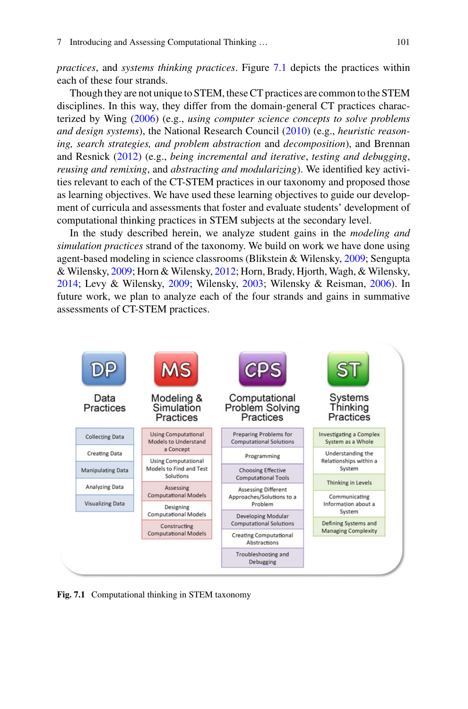*practices*, and *systems thinking practices*. Figure [7.1](#page-2-0) depicts the practices within each of these four strands.

Though they are not unique to STEM, these CT practices are common to the STEM disciplines. In this way, they differ from the domain-general CT practices characterized by Wing [\(2006\)](#page-18-1) (e.g., *using computer science concepts to solve problems and design systems*), the National Research Council [\(2010\)](#page-16-7) (e.g., *heuristic reasoning, search strategies, and problem abstraction* and *decomposition*), and Brennan and Resnick [\(2012\)](#page-16-8) (e.g., *being incremental and iterative*, *testing and debugging*, *reusing and remixing*, and *abstracting and modularizing*). We identified key activities relevant to each of the CT-STEM practices in our taxonomy and proposed those as learning objectives. We have used these learning objectives to guide our development of curricula and assessments that foster and evaluate students' development of computational thinking practices in STEM subjects at the secondary level.

In the study described herein, we analyze student gains in the *modeling and simulation practices* strand of the taxonomy. We build on work we have done using agent-based modeling in science classrooms (Blikstein & Wilensky, [2009;](#page-16-9) Sengupta & Wilensky, [2009;](#page-17-4) Horn & Wilensky, [2012;](#page-16-10) Horn, Brady, Hjorth, Wagh, & Wilensky, [2014;](#page-16-11) Levy & Wilensky, [2009;](#page-16-12) Wilensky, [2003;](#page-17-5) Wilensky & Reisman, [2006\)](#page-18-2). In future work, we plan to analyze each of the four strands and gains in summative assessments of CT-STEM practices.



<span id="page-2-0"></span>**Fig. 7.1** Computational thinking in STEM taxonomy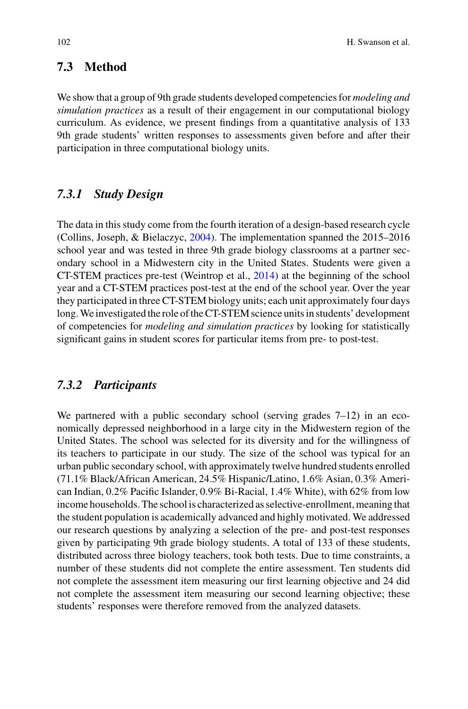# **7.3 Method**

We show that a group of 9th grade students developed competencies for *modeling and simulation practices* as a result of their engagement in our computational biology curriculum. As evidence, we present findings from a quantitative analysis of 133 9th grade students' written responses to assessments given before and after their participation in three computational biology units.

# *7.3.1 Study Design*

The data in this study come from the fourth iteration of a design-based research cycle (Collins, Joseph, & Bielaczyc, [2004\)](#page-16-13). The implementation spanned the 2015–2016 school year and was tested in three 9th grade biology classrooms at a partner secondary school in a Midwestern city in the United States. Students were given a CT-STEM practices pre-test (Weintrop et al., [2014\)](#page-17-6) at the beginning of the school year and a CT-STEM practices post-test at the end of the school year. Over the year they participated in three CT-STEM biology units; each unit approximately four days long.We investigated the role of the CT-STEM science units in students' development of competencies for *modeling and simulation practices* by looking for statistically significant gains in student scores for particular items from pre- to post-test.

# *7.3.2 Participants*

We partnered with a public secondary school (serving grades  $7-12$ ) in an economically depressed neighborhood in a large city in the Midwestern region of the United States. The school was selected for its diversity and for the willingness of its teachers to participate in our study. The size of the school was typical for an urban public secondary school, with approximately twelve hundred students enrolled (71.1% Black/African American, 24.5% Hispanic/Latino, 1.6% Asian, 0.3% American Indian, 0.2% Pacific Islander, 0.9% Bi-Racial, 1.4% White), with 62% from low income households. The school is characterized as selective-enrollment, meaning that the student population is academically advanced and highly motivated. We addressed our research questions by analyzing a selection of the pre- and post-test responses given by participating 9th grade biology students. A total of 133 of these students, distributed across three biology teachers, took both tests. Due to time constraints, a number of these students did not complete the entire assessment. Ten students did not complete the assessment item measuring our first learning objective and 24 did not complete the assessment item measuring our second learning objective; these students' responses were therefore removed from the analyzed datasets.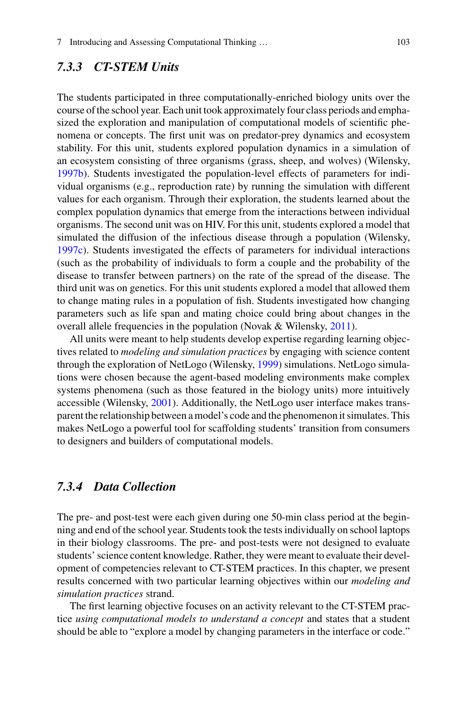# *7.3.3 CT-STEM Units*

The students participated in three computationally-enriched biology units over the course of the school year. Each unit took approximately four class periods and emphasized the exploration and manipulation of computational models of scientific phenomena or concepts. The first unit was on predator-prey dynamics and ecosystem stability. For this unit, students explored population dynamics in a simulation of an ecosystem consisting of three organisms (grass, sheep, and wolves) (Wilensky, [1997b\)](#page-17-7). Students investigated the population-level effects of parameters for individual organisms (e.g., reproduction rate) by running the simulation with different values for each organism. Through their exploration, the students learned about the complex population dynamics that emerge from the interactions between individual organisms. The second unit was on HIV. For this unit, students explored a model that simulated the diffusion of the infectious disease through a population (Wilensky, [1997c\)](#page-17-8). Students investigated the effects of parameters for individual interactions (such as the probability of individuals to form a couple and the probability of the disease to transfer between partners) on the rate of the spread of the disease. The third unit was on genetics. For this unit students explored a model that allowed them to change mating rules in a population of fish. Students investigated how changing parameters such as life span and mating choice could bring about changes in the overall allele frequencies in the population (Novak & Wilensky, [2011\)](#page-16-14).

All units were meant to help students develop expertise regarding learning objectives related to *modeling and simulation practices* by engaging with science content through the exploration of NetLogo (Wilensky, [1999\)](#page-17-9) simulations. NetLogo simulations were chosen because the agent-based modeling environments make complex systems phenomena (such as those featured in the biology units) more intuitively accessible (Wilensky, [2001\)](#page-17-10). Additionally, the NetLogo user interface makes transparent the relationship between a model's code and the phenomenon it simulates. This makes NetLogo a powerful tool for scaffolding students' transition from consumers to designers and builders of computational models.

# *7.3.4 Data Collection*

The pre- and post-test were each given during one 50-min class period at the beginning and end of the school year. Students took the tests individually on school laptops in their biology classrooms. The pre- and post-tests were not designed to evaluate students' science content knowledge. Rather, they were meant to evaluate their development of competencies relevant to CT-STEM practices. In this chapter, we present results concerned with two particular learning objectives within our *modeling and simulation practices* strand.

The first learning objective focuses on an activity relevant to the CT-STEM practice *using computational models to understand a concept* and states that a student should be able to "explore a model by changing parameters in the interface or code."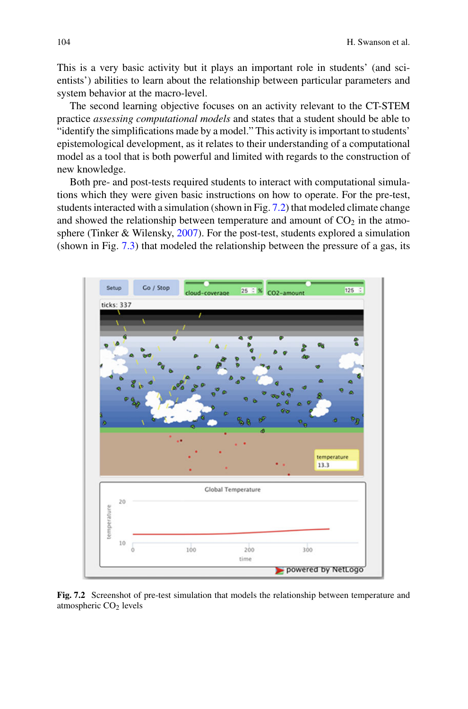This is a very basic activity but it plays an important role in students' (and scientists') abilities to learn about the relationship between particular parameters and system behavior at the macro-level.

The second learning objective focuses on an activity relevant to the CT-STEM practice *assessing computational models* and states that a student should be able to "identify the simplifications made by a model." This activity is important to students' epistemological development, as it relates to their understanding of a computational model as a tool that is both powerful and limited with regards to the construction of new knowledge.

Both pre- and post-tests required students to interact with computational simulations which they were given basic instructions on how to operate. For the pre-test, students interacted with a simulation (shown in Fig. [7.2\)](#page-5-0) that modeled climate change and showed the relationship between temperature and amount of  $CO<sub>2</sub>$  in the atmosphere (Tinker & Wilensky, [2007\)](#page-17-11). For the post-test, students explored a simulation (shown in Fig. [7.3\)](#page-6-0) that modeled the relationship between the pressure of a gas, its



<span id="page-5-0"></span>**Fig. 7.2** Screenshot of pre-test simulation that models the relationship between temperature and atmospheric CO<sub>2</sub> levels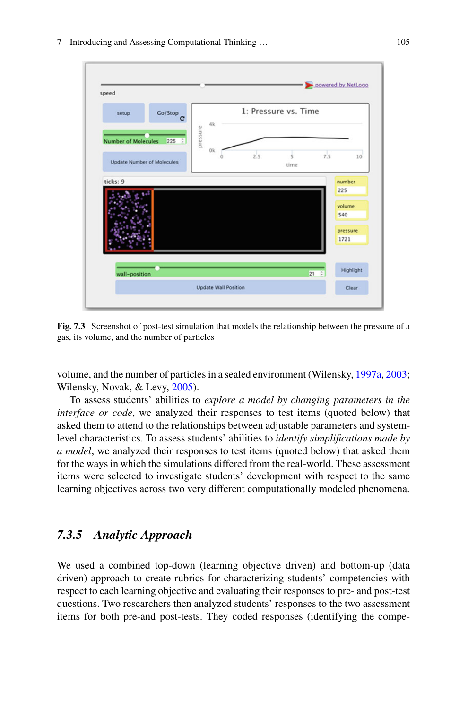

<span id="page-6-0"></span>**Fig. 7.3** Screenshot of post-test simulation that models the relationship between the pressure of a gas, its volume, and the number of particles

volume, and the number of particles in a sealed environment (Wilensky, [1997a,](#page-17-12) [2003;](#page-17-5) Wilensky, Novak, & Levy, [2005\)](#page-17-13).

To assess students' abilities to *explore a model by changing parameters in the interface or code*, we analyzed their responses to test items (quoted below) that asked them to attend to the relationships between adjustable parameters and systemlevel characteristics. To assess students' abilities to *identify simplifications made by a model*, we analyzed their responses to test items (quoted below) that asked them for the ways in which the simulations differed from the real-world. These assessment items were selected to investigate students' development with respect to the same learning objectives across two very different computationally modeled phenomena.

### *7.3.5 Analytic Approach*

We used a combined top-down (learning objective driven) and bottom-up (data driven) approach to create rubrics for characterizing students' competencies with respect to each learning objective and evaluating their responses to pre- and post-test questions. Two researchers then analyzed students' responses to the two assessment items for both pre-and post-tests. They coded responses (identifying the compe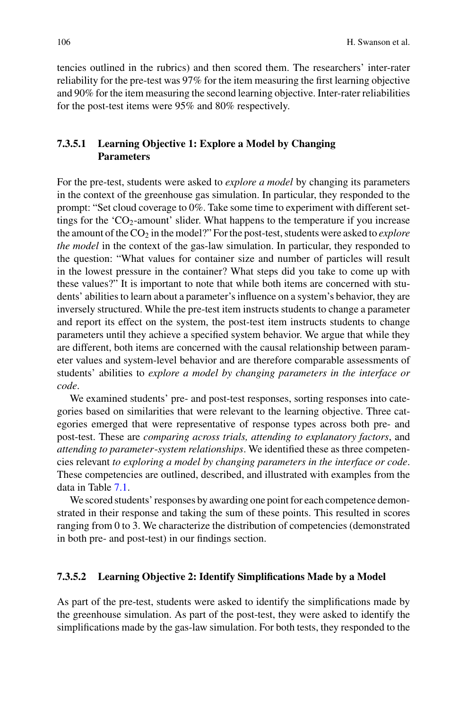tencies outlined in the rubrics) and then scored them. The researchers' inter-rater reliability for the pre-test was 97% for the item measuring the first learning objective and 90% for the item measuring the second learning objective. Inter-rater reliabilities for the post-test items were 95% and 80% respectively.

### **7.3.5.1 Learning Objective 1: Explore a Model by Changing Parameters**

For the pre-test, students were asked to *explore a model* by changing its parameters in the context of the greenhouse gas simulation. In particular, they responded to the prompt: "Set cloud coverage to 0%. Take some time to experiment with different settings for the ' $CO<sub>2</sub>$ -amount' slider. What happens to the temperature if you increase the amount of the CO<sub>2</sub> in the model?" For the post-test, students were asked to *explore the model* in the context of the gas-law simulation. In particular, they responded to the question: "What values for container size and number of particles will result in the lowest pressure in the container? What steps did you take to come up with these values?" It is important to note that while both items are concerned with students' abilities to learn about a parameter's influence on a system's behavior, they are inversely structured. While the pre-test item instructs students to change a parameter and report its effect on the system, the post-test item instructs students to change parameters until they achieve a specified system behavior. We argue that while they are different, both items are concerned with the causal relationship between parameter values and system-level behavior and are therefore comparable assessments of students' abilities to *explore a model by changing parameters in the interface or code*.

We examined students' pre- and post-test responses, sorting responses into categories based on similarities that were relevant to the learning objective. Three categories emerged that were representative of response types across both pre- and post-test. These are *comparing across trials, attending to explanatory factors*, and *attending to parameter*-*system relationships*. We identified these as three competencies relevant *to exploring a model by changing parameters in the interface or code*. These competencies are outlined, described, and illustrated with examples from the data in Table [7.1.](#page-8-0)

We scored students' responses by awarding one point for each competence demonstrated in their response and taking the sum of these points. This resulted in scores ranging from 0 to 3. We characterize the distribution of competencies (demonstrated in both pre- and post-test) in our findings section.

### **7.3.5.2 Learning Objective 2: Identify Simplifications Made by a Model**

As part of the pre-test, students were asked to identify the simplifications made by the greenhouse simulation. As part of the post-test, they were asked to identify the simplifications made by the gas-law simulation. For both tests, they responded to the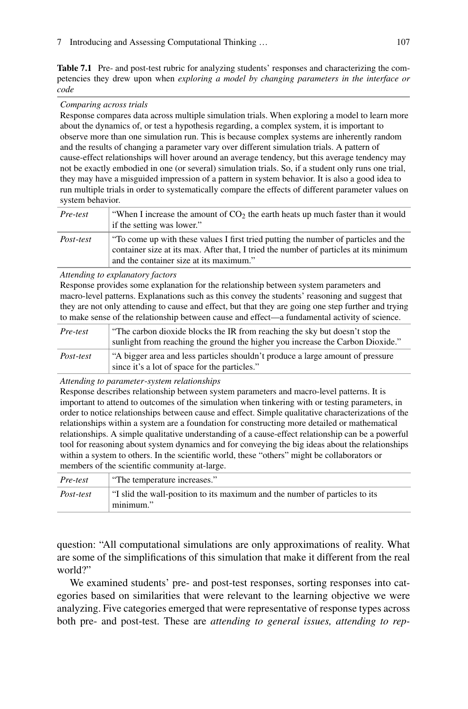<span id="page-8-0"></span>**Table 7.1** Pre- and post-test rubric for analyzing students' responses and characterizing the competencies they drew upon when *exploring a model by changing parameters in the interface or code*

### *Comparing across trials*

Response compares data across multiple simulation trials. When exploring a model to learn more about the dynamics of, or test a hypothesis regarding, a complex system, it is important to observe more than one simulation run. This is because complex systems are inherently random and the results of changing a parameter vary over different simulation trials. A pattern of cause-effect relationships will hover around an average tendency, but this average tendency may not be exactly embodied in one (or several) simulation trials. So, if a student only runs one trial, they may have a misguided impression of a pattern in system behavior. It is also a good idea to run multiple trials in order to systematically compare the effects of different parameter values on system behavior.

| Pre-test  | "When I increase the amount of $CO2$ the earth heats up much faster than it would<br>if the setting was lower."                                                                                                         |
|-----------|-------------------------------------------------------------------------------------------------------------------------------------------------------------------------------------------------------------------------|
| Post-test | "To come up with these values I first tried putting the number of particles and the<br>container size at its max. After that, I tried the number of particles at its minimum<br>and the container size at its maximum." |

#### *Attending to explanatory factors*

Response provides some explanation for the relationship between system parameters and macro-level patterns. Explanations such as this convey the students' reasoning and suggest that they are not only attending to cause and effect, but that they are going one step further and trying to make sense of the relationship between cause and effect—a fundamental activity of science.

| Pre-test  | "The carbon dioxide blocks the IR from reaching the sky but doesn't stop the<br>sunlight from reaching the ground the higher you increase the Carbon Dioxide." |
|-----------|----------------------------------------------------------------------------------------------------------------------------------------------------------------|
| Post-test | "A bigger area and less particles shouldn't produce a large amount of pressure<br>since it's a lot of space for the particles."                                |

*Attending to parameter*-*system relationships*

Response describes relationship between system parameters and macro-level patterns. It is important to attend to outcomes of the simulation when tinkering with or testing parameters, in order to notice relationships between cause and effect. Simple qualitative characterizations of the relationships within a system are a foundation for constructing more detailed or mathematical relationships. A simple qualitative understanding of a cause-effect relationship can be a powerful tool for reasoning about system dynamics and for conveying the big ideas about the relationships within a system to others. In the scientific world, these "others" might be collaborators or members of the scientific community at-large.

| Pre-test  | "The temperature increases."                                                             |
|-----------|------------------------------------------------------------------------------------------|
| Post-test | "I slid the wall-position to its maximum and the number of particles to its<br>minimum." |

question: "All computational simulations are only approximations of reality. What are some of the simplifications of this simulation that make it different from the real world?"

We examined students' pre- and post-test responses, sorting responses into categories based on similarities that were relevant to the learning objective we were analyzing. Five categories emerged that were representative of response types across both pre- and post-test. These are *attending to general issues, attending to rep-*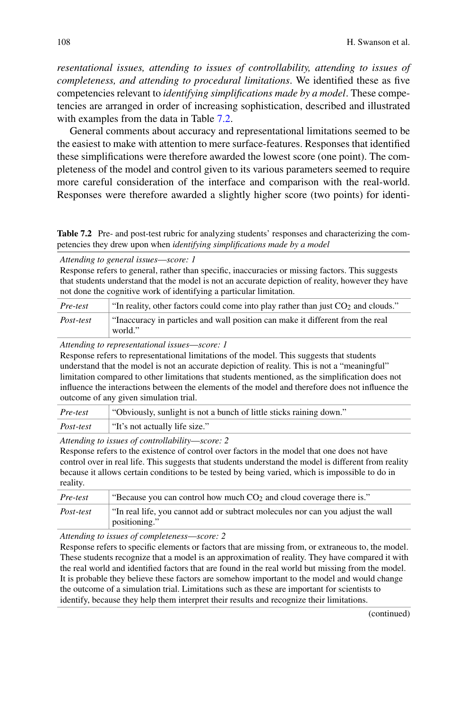*resentational issues, attending to issues of controllability, attending to issues of completeness, and attending to procedural limitations*. We identified these as five competencies relevant to *identifying simplifications made by a model*. These competencies are arranged in order of increasing sophistication, described and illustrated with examples from the data in Table [7.2.](#page-9-0)

General comments about accuracy and representational limitations seemed to be the easiest to make with attention to mere surface-features. Responses that identified these simplifications were therefore awarded the lowest score (one point). The completeness of the model and control given to its various parameters seemed to require more careful consideration of the interface and comparison with the real-world. Responses were therefore awarded a slightly higher score (two points) for identi-

<span id="page-9-0"></span>**Table 7.2** Pre- and post-test rubric for analyzing students' responses and characterizing the competencies they drew upon when *identifying simplifications made by a model*

*Attending to general issues*—*score: 1*

Response refers to general, rather than specific, inaccuracies or missing factors. This suggests that students understand that the model is not an accurate depiction of reality, however they have not done the cognitive work of identifying a particular limitation.

| Pre-test  | "In reality, other factors could come into play rather than just $CO2$ and clouds."       |
|-----------|-------------------------------------------------------------------------------------------|
| Post-test | "Inaccuracy in particles and wall position can make it different from the real<br>world." |

*Attending to representational issues*—*score: 1*

Response refers to representational limitations of the model. This suggests that students understand that the model is not an accurate depiction of reality. This is not a "meaningful" limitation compared to other limitations that students mentioned, as the simplification does not influence the interactions between the elements of the model and therefore does not influence the outcome of any given simulation trial.

| Pre-test  | "Obviously, sunlight is not a bunch of little sticks raining down." |
|-----------|---------------------------------------------------------------------|
| Post-test | "It's not actually life size."                                      |

*Attending to issues of controllability*—*score: 2*

Response refers to the existence of control over factors in the model that one does not have control over in real life. This suggests that students understand the model is different from reality because it allows certain conditions to be tested by being varied, which is impossible to do in reality.

| Pre-test  | "Because you can control how much $CO2$ and cloud coverage there is."                            |
|-----------|--------------------------------------------------------------------------------------------------|
| Post-test | "In real life, you cannot add or subtract molecules nor can you adjust the wall<br>positioning." |

*Attending to issues of completeness*—*score: 2*

Response refers to specific elements or factors that are missing from, or extraneous to, the model. These students recognize that a model is an approximation of reality. They have compared it with the real world and identified factors that are found in the real world but missing from the model. It is probable they believe these factors are somehow important to the model and would change the outcome of a simulation trial. Limitations such as these are important for scientists to identify, because they help them interpret their results and recognize their limitations.

(continued)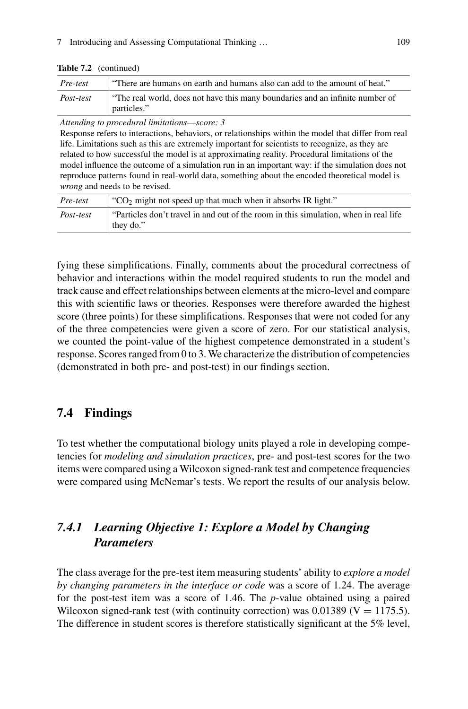| Pre-test  | "There are humans on earth and humans also can add to the amount of heat."                   |
|-----------|----------------------------------------------------------------------------------------------|
| Post-test | "The real world, does not have this many boundaries and an infinite number of<br>particles." |

**Table 7.2** (continued)

*Attending to procedural limitations*—*score: 3*

Response refers to interactions, behaviors, or relationships within the model that differ from real life. Limitations such as this are extremely important for scientists to recognize, as they are related to how successful the model is at approximating reality. Procedural limitations of the model influence the outcome of a simulation run in an important way: if the simulation does not reproduce patterns found in real-world data, something about the encoded theoretical model is *wrong* and needs to be revised.

| Pre-test  | "CO <sub>2</sub> might not speed up that much when it absorbs IR light."                          |
|-----------|---------------------------------------------------------------------------------------------------|
| Post-test | "Particles don't travel in and out of the room in this simulation, when in real life<br>they do." |

fying these simplifications. Finally, comments about the procedural correctness of behavior and interactions within the model required students to run the model and track cause and effect relationships between elements at the micro-level and compare this with scientific laws or theories. Responses were therefore awarded the highest score (three points) for these simplifications. Responses that were not coded for any of the three competencies were given a score of zero. For our statistical analysis, we counted the point-value of the highest competence demonstrated in a student's response. Scores ranged from 0 to 3. We characterize the distribution of competencies (demonstrated in both pre- and post-test) in our findings section.

# **7.4 Findings**

To test whether the computational biology units played a role in developing competencies for *modeling and simulation practices*, pre- and post-test scores for the two items were compared using a Wilcoxon signed-rank test and competence frequencies were compared using McNemar's tests. We report the results of our analysis below.

# *7.4.1 Learning Objective 1: Explore a Model by Changing Parameters*

The class average for the pre-test item measuring students' ability to *explore a model by changing parameters in the interface or code* was a score of 1.24. The average for the post-test item was a score of 1.46. The *p*-value obtained using a paired Wilcoxon signed-rank test (with continuity correction) was  $0.01389$  (V = 1175.5). The difference in student scores is therefore statistically significant at the 5% level,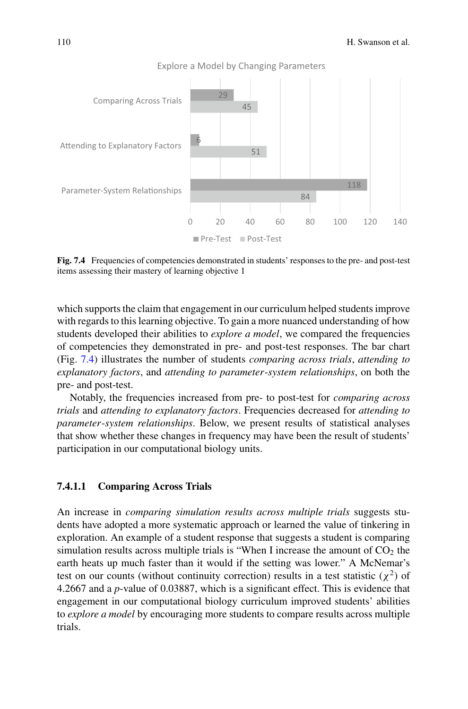

Explore a Model by Changing Parameters

<span id="page-11-0"></span>Fig. 7.4 Frequencies of competencies demonstrated in students' responses to the pre- and post-test items assessing their mastery of learning objective 1

which supports the claim that engagement in our curriculum helped students improve with regards to this learning objective. To gain a more nuanced understanding of how students developed their abilities to *explore a model*, we compared the frequencies of competencies they demonstrated in pre- and post-test responses. The bar chart (Fig. [7.4\)](#page-11-0) illustrates the number of students *comparing across trials*, *attending to explanatory factors*, and *attending to parameter*-*system relationships*, on both the pre- and post-test.

Notably, the frequencies increased from pre- to post-test for *comparing across trials* and *attending to explanatory factors*. Frequencies decreased for *attending to parameter*-*system relationships*. Below, we present results of statistical analyses that show whether these changes in frequency may have been the result of students' participation in our computational biology units.

### **7.4.1.1 Comparing Across Trials**

An increase in *comparing simulation results across multiple trials* suggests students have adopted a more systematic approach or learned the value of tinkering in exploration. An example of a student response that suggests a student is comparing simulation results across multiple trials is "When I increase the amount of  $CO<sub>2</sub>$  the earth heats up much faster than it would if the setting was lower." A McNemar's test on our counts (without continuity correction) results in a test statistic  $(\chi^2)$  of 4.2667 and a *p*-value of 0.03887, which is a significant effect. This is evidence that engagement in our computational biology curriculum improved students' abilities to *explore a model* by encouraging more students to compare results across multiple trials.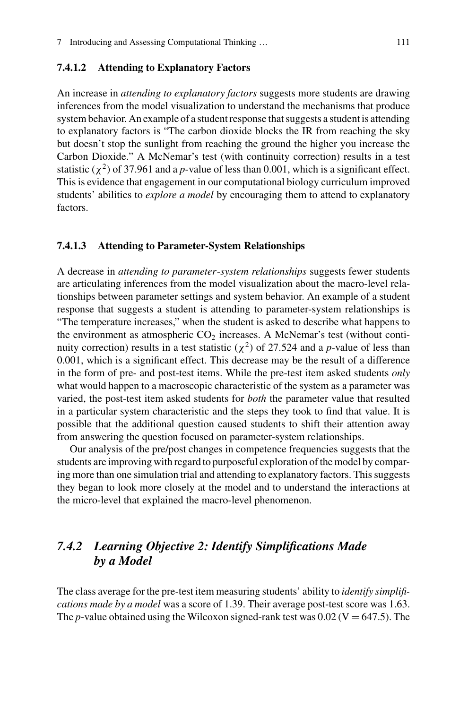### **7.4.1.2 Attending to Explanatory Factors**

An increase in *attending to explanatory factors* suggests more students are drawing inferences from the model visualization to understand the mechanisms that produce system behavior. An example of a student response that suggests a student is attending to explanatory factors is "The carbon dioxide blocks the IR from reaching the sky but doesn't stop the sunlight from reaching the ground the higher you increase the Carbon Dioxide." A McNemar's test (with continuity correction) results in a test statistic  $(\chi^2)$  of 37.961 and a *p*-value of less than 0.001, which is a significant effect. This is evidence that engagement in our computational biology curriculum improved students' abilities to *explore a model* by encouraging them to attend to explanatory factors.

### **7.4.1.3 Attending to Parameter-System Relationships**

A decrease in *attending to parameter*-*system relationships* suggests fewer students are articulating inferences from the model visualization about the macro-level relationships between parameter settings and system behavior. An example of a student response that suggests a student is attending to parameter-system relationships is "The temperature increases," when the student is asked to describe what happens to the environment as atmospheric  $CO<sub>2</sub>$  increases. A McNemar's test (without continuity correction) results in a test statistic  $(\chi^2)$  of 27.524 and a *p*-value of less than 0.001, which is a significant effect. This decrease may be the result of a difference in the form of pre- and post-test items. While the pre-test item asked students *only* what would happen to a macroscopic characteristic of the system as a parameter was varied, the post-test item asked students for *both* the parameter value that resulted in a particular system characteristic and the steps they took to find that value. It is possible that the additional question caused students to shift their attention away from answering the question focused on parameter-system relationships.

Our analysis of the pre/post changes in competence frequencies suggests that the students are improving with regard to purposeful exploration of the model by comparing more than one simulation trial and attending to explanatory factors. This suggests they began to look more closely at the model and to understand the interactions at the micro-level that explained the macro-level phenomenon.

# *7.4.2 Learning Objective 2: Identify Simplifications Made by a Model*

The class average for the pre-test item measuring students' ability to *identify simplifications made by a model* was a score of 1.39. Their average post-test score was 1.63. The *p*-value obtained using the Wilcoxon signed-rank test was  $0.02$  (V = 647.5). The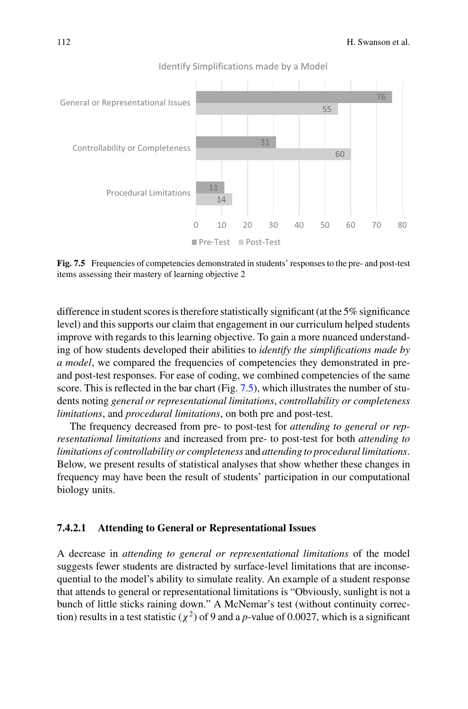

<span id="page-13-0"></span>Fig. 7.5 Frequencies of competencies demonstrated in students' responses to the pre- and post-test items assessing their mastery of learning objective 2

difference in student scores is therefore statistically significant (at the 5% significance level) and this supports our claim that engagement in our curriculum helped students improve with regards to this learning objective. To gain a more nuanced understanding of how students developed their abilities to *identify the simplifications made by a model*, we compared the frequencies of competencies they demonstrated in preand post-test responses. For ease of coding, we combined competencies of the same score. This is reflected in the bar chart (Fig. [7.5\)](#page-13-0), which illustrates the number of students noting *general or representational limitations*, *controllability or completeness limitations*, and *procedural limitations*, on both pre and post-test.

The frequency decreased from pre- to post-test for *attending to general or representational limitations* and increased from pre- to post-test for both *attending to limitations of controllability or completeness* and *attending to procedural limitations*. Below, we present results of statistical analyses that show whether these changes in frequency may have been the result of students' participation in our computational biology units.

### **7.4.2.1 Attending to General or Representational Issues**

A decrease in *attending to general or representational limitations* of the model suggests fewer students are distracted by surface-level limitations that are inconsequential to the model's ability to simulate reality. An example of a student response that attends to general or representational limitations is "Obviously, sunlight is not a bunch of little sticks raining down." A McNemar's test (without continuity correction) results in a test statistic ( $\chi^2$ ) of 9 and a *p*-value of 0.0027, which is a significant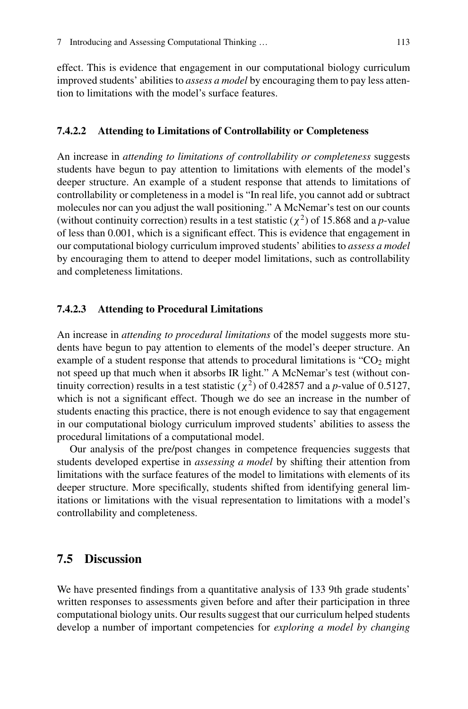effect. This is evidence that engagement in our computational biology curriculum improved students' abilities to *assess a model* by encouraging them to pay less attention to limitations with the model's surface features.

### **7.4.2.2 Attending to Limitations of Controllability or Completeness**

An increase in *attending to limitations of controllability or completeness* suggests students have begun to pay attention to limitations with elements of the model's deeper structure. An example of a student response that attends to limitations of controllability or completeness in a model is "In real life, you cannot add or subtract molecules nor can you adjust the wall positioning." A McNemar's test on our counts (without continuity correction) results in a test statistic ( $\chi^2$ ) of 15.868 and a *p*-value of less than 0.001, which is a significant effect. This is evidence that engagement in our computational biology curriculum improved students' abilities to *assess a model* by encouraging them to attend to deeper model limitations, such as controllability and completeness limitations.

### **7.4.2.3 Attending to Procedural Limitations**

An increase in *attending to procedural limitations* of the model suggests more students have begun to pay attention to elements of the model's deeper structure. An example of a student response that attends to procedural limitations is " $CO<sub>2</sub>$  might not speed up that much when it absorbs IR light." A McNemar's test (without continuity correction) results in a test statistic ( $\chi^2$ ) of 0.42857 and a *p*-value of 0.5127, which is not a significant effect. Though we do see an increase in the number of students enacting this practice, there is not enough evidence to say that engagement in our computational biology curriculum improved students' abilities to assess the procedural limitations of a computational model.

Our analysis of the pre/post changes in competence frequencies suggests that students developed expertise in *assessing a model* by shifting their attention from limitations with the surface features of the model to limitations with elements of its deeper structure. More specifically, students shifted from identifying general limitations or limitations with the visual representation to limitations with a model's controllability and completeness.

### **7.5 Discussion**

We have presented findings from a quantitative analysis of 133 9th grade students' written responses to assessments given before and after their participation in three computational biology units. Our results suggest that our curriculum helped students develop a number of important competencies for *exploring a model by changing*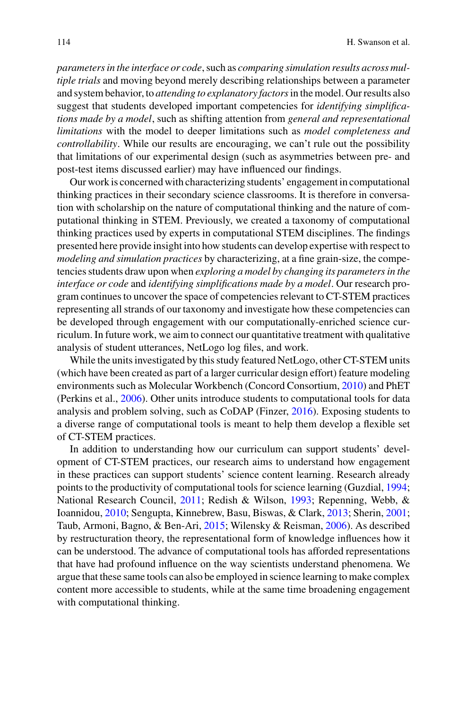*parameters in the interface or code*, such as *comparing simulation results across multiple trials* and moving beyond merely describing relationships between a parameter and system behavior, to *attending to explanatory factors*in the model. Our results also suggest that students developed important competencies for *identifying simplifications made by a model*, such as shifting attention from *general and representational limitations* with the model to deeper limitations such as *model completeness and controllability*. While our results are encouraging, we can't rule out the possibility that limitations of our experimental design (such as asymmetries between pre- and post-test items discussed earlier) may have influenced our findings.

Our work is concerned with characterizing students' engagement in computational thinking practices in their secondary science classrooms. It is therefore in conversation with scholarship on the nature of computational thinking and the nature of computational thinking in STEM. Previously, we created a taxonomy of computational thinking practices used by experts in computational STEM disciplines. The findings presented here provide insight into how students can develop expertise with respect to *modeling and simulation practices* by characterizing, at a fine grain-size, the competencies students draw upon when *exploring a model by changing its parameters in the interface or code* and *identifying simplifications made by a model*. Our research program continues to uncover the space of competencies relevant to CT-STEM practices representing all strands of our taxonomy and investigate how these competencies can be developed through engagement with our computationally-enriched science curriculum. In future work, we aim to connect our quantitative treatment with qualitative analysis of student utterances, NetLogo log files, and work.

While the units investigated by this study featured NetLogo, other CT-STEM units (which have been created as part of a larger curricular design effort) feature modeling environments such as Molecular Workbench (Concord Consortium, [2010\)](#page-16-15) and PhET (Perkins et al., [2006\)](#page-17-14). Other units introduce students to computational tools for data analysis and problem solving, such as CoDAP (Finzer, [2016\)](#page-16-16). Exposing students to a diverse range of computational tools is meant to help them develop a flexible set of CT-STEM practices.

In addition to understanding how our curriculum can support students' development of CT-STEM practices, our research aims to understand how engagement in these practices can support students' science content learning. Research already points to the productivity of computational tools for science learning (Guzdial, [1994;](#page-16-17) National Research Council, [2011;](#page-16-18) Redish & Wilson, [1993;](#page-17-15) Repenning, Webb, & Ioannidou, [2010;](#page-17-16) Sengupta, Kinnebrew, Basu, Biswas, & Clark, [2013;](#page-17-17) Sherin, [2001;](#page-17-18) Taub, Armoni, Bagno, & Ben-Ari, [2015;](#page-17-19) Wilensky & Reisman, [2006\)](#page-18-2). As described by restructuration theory, the representational form of knowledge influences how it can be understood. The advance of computational tools has afforded representations that have had profound influence on the way scientists understand phenomena. We argue that these same tools can also be employed in science learning to make complex content more accessible to students, while at the same time broadening engagement with computational thinking.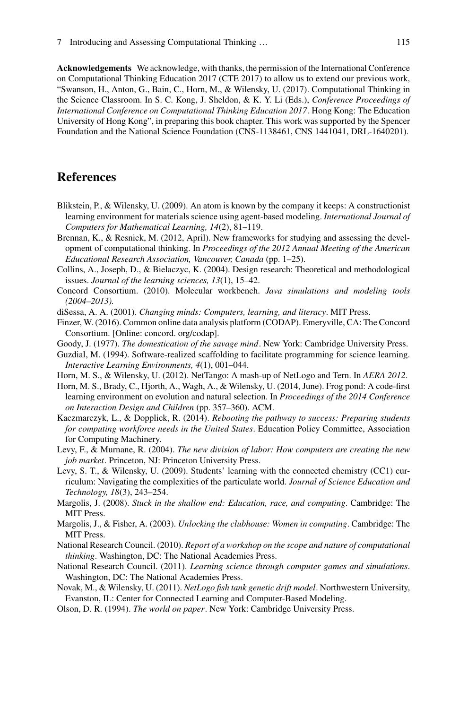**Acknowledgements** We acknowledge, with thanks, the permission of the International Conference on Computational Thinking Education 2017 (CTE 2017) to allow us to extend our previous work, "Swanson, H., Anton, G., Bain, C., Horn, M., & Wilensky, U. (2017). Computational Thinking in the Science Classroom. In S. C. Kong, J. Sheldon, & K. Y. Li (Eds.), *Conference Proceedings of International Conference on Computational Thinking Education 2017*. Hong Kong: The Education University of Hong Kong", in preparing this book chapter. This work was supported by the Spencer Foundation and the National Science Foundation (CNS-1138461, CNS 1441041, DRL-1640201).

### **References**

- <span id="page-16-9"></span>Blikstein, P., & Wilensky, U. (2009). An atom is known by the company it keeps: A constructionist learning environment for materials science using agent-based modeling. *International Journal of Computers for Mathematical Learning, 14*(2), 81–119.
- <span id="page-16-8"></span>Brennan, K., & Resnick, M. (2012, April). New frameworks for studying and assessing the development of computational thinking. In *Proceedings of the 2012 Annual Meeting of the American Educational Research Association, Vancouver, Canada* (pp. 1–25).
- <span id="page-16-13"></span>Collins, A., Joseph, D., & Bielaczyc, K. (2004). Design research: Theoretical and methodological issues. *Journal of the learning sciences, 13*(1), 15–42.
- <span id="page-16-15"></span>Concord Consortium. (2010). Molecular workbench. *Java simulations and modeling tools (2004–2013).*
- <span id="page-16-6"></span>diSessa, A. A. (2001). *Changing minds: Computers, learning, and literacy*. MIT Press.
- <span id="page-16-16"></span>Finzer, W. (2016). Common online data analysis platform (CODAP). Emeryville, CA: The Concord Consortium. [Online: concord. org/codap].
- <span id="page-16-4"></span>Goody, J. (1977). *The domestication of the savage mind*. New York: Cambridge University Press.
- <span id="page-16-17"></span>Guzdial, M. (1994). Software-realized scaffolding to facilitate programming for science learning. *Interactive Learning Environments, 4*(1), 001–044.
- <span id="page-16-10"></span>Horn, M. S., & Wilensky, U. (2012). NetTango: A mash-up of NetLogo and Tern. In *AERA 2012*.
- <span id="page-16-11"></span>Horn, M. S., Brady, C., Hjorth, A., Wagh, A., & Wilensky, U. (2014, June). Frog pond: A code-first learning environment on evolution and natural selection. In *Proceedings of the 2014 Conference on Interaction Design and Children* (pp. 357–360). ACM.
- <span id="page-16-1"></span>Kaczmarczyk, L., & Dopplick, R. (2014). *Rebooting the pathway to success: Preparing students for computing workforce needs in the United States*. Education Policy Committee, Association for Computing Machinery.
- <span id="page-16-0"></span>Levy, F., & Murnane, R. (2004). *The new division of labor: How computers are creating the new job market*. Princeton, NJ: Princeton University Press.
- <span id="page-16-12"></span>Levy, S. T., & Wilensky, U. (2009). Students' learning with the connected chemistry (CC1) curriculum: Navigating the complexities of the particulate world. *Journal of Science Education and Technology, 18*(3), 243–254.
- <span id="page-16-2"></span>Margolis, J. (2008). *Stuck in the shallow end: Education, race, and computing*. Cambridge: The MIT Press.
- <span id="page-16-3"></span>Margolis, J., & Fisher, A. (2003). *Unlocking the clubhouse: Women in computing*. Cambridge: The MIT Press.
- <span id="page-16-7"></span>National Research Council. (2010). *Report of a workshop on the scope and nature of computational thinking*. Washington, DC: The National Academies Press.
- <span id="page-16-18"></span>National Research Council. (2011). *Learning science through computer games and simulations*. Washington, DC: The National Academies Press.
- <span id="page-16-14"></span>Novak, M., & Wilensky, U. (2011). *NetLogo fish tank genetic drift model*. Northwestern University, Evanston, IL: Center for Connected Learning and Computer-Based Modeling.
- <span id="page-16-5"></span>Olson, D. R. (1994). *The world on paper*. New York: Cambridge University Press.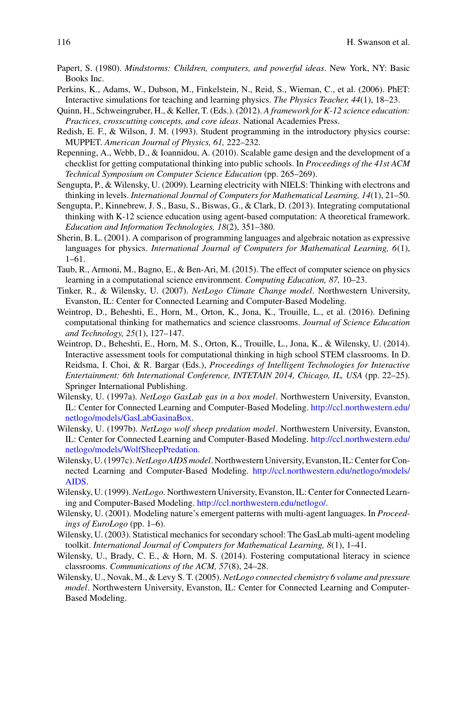- <span id="page-17-2"></span>Papert, S. (1980). *Mindstorms: Children, computers, and powerful ideas*. New York, NY: Basic Books Inc.
- <span id="page-17-14"></span>Perkins, K., Adams, W., Dubson, M., Finkelstein, N., Reid, S., Wieman, C., et al. (2006). PhET: Interactive simulations for teaching and learning physics. *The Physics Teacher, 44*(1), 18–23.
- <span id="page-17-0"></span>Quinn, H., Schweingruber, H., & Keller, T. (Eds.). (2012). *A framework for K-12 science education: Practices, crosscutting concepts, and core ideas*. National Academies Press.
- <span id="page-17-15"></span>Redish, E. F., & Wilson, J. M. (1993). Student programming in the introductory physics course: MUPPET. *American Journal of Physics, 61,* 222–232.
- <span id="page-17-16"></span>Repenning, A., Webb, D., & Ioannidou, A. (2010). Scalable game design and the development of a checklist for getting computational thinking into public schools. In *Proceedings of the 41st ACM Technical Symposium on Computer Science Education* (pp. 265–269).
- <span id="page-17-4"></span>Sengupta, P., & Wilensky, U. (2009). Learning electricity with NIELS: Thinking with electrons and thinking in levels. *International Journal of Computers for Mathematical Learning, 14*(1), 21–50.
- <span id="page-17-17"></span>Sengupta, P., Kinnebrew, J. S., Basu, S., Biswas, G., & Clark, D. (2013). Integrating computational thinking with K-12 science education using agent-based computation: A theoretical framework. *Education and Information Technologies, 18*(2), 351–380.
- <span id="page-17-18"></span>Sherin, B. L. (2001). A comparison of programming languages and algebraic notation as expressive languages for physics. *International Journal of Computers for Mathematical Learning, 6*(1), 1–61.
- <span id="page-17-19"></span>Taub, R., Armoni, M., Bagno, E., & Ben-Ari, M. (2015). The effect of computer science on physics learning in a computational science environment. *Computing Education, 87,* 10–23.
- <span id="page-17-11"></span>Tinker, R., & Wilensky, U. (2007). *NetLogo Climate Change model*. Northwestern University, Evanston, IL: Center for Connected Learning and Computer-Based Modeling.
- <span id="page-17-3"></span>Weintrop, D., Beheshti, E., Horn, M., Orton, K., Jona, K., Trouille, L., et al. (2016). Defining computational thinking for mathematics and science classrooms. *Journal of Science Education and Technology, 25*(1), 127–147.
- <span id="page-17-6"></span>Weintrop, D., Beheshti, E., Horn, M. S., Orton, K., Trouille, L., Jona, K., & Wilensky, U. (2014). Interactive assessment tools for computational thinking in high school STEM classrooms. In D. Reidsma, I. Choi, & R. Bargar (Eds.), *Proceedings of Intelligent Technologies for Interactive Entertainment: 6th International Conference, INTETAIN 2014, Chicago, IL, USA* (pp. 22–25). Springer International Publishing.
- <span id="page-17-12"></span>Wilensky, U. (1997a). *NetLogo GasLab gas in a box model*. Northwestern University, Evanston, [IL: Center for Connected Learning and Computer-Based Modeling.](http://ccl.northwestern.edu/netlogo/models/GasLabGasinaBox) http://ccl.northwestern.edu/ netlogo/models/GasLabGasinaBox.
- <span id="page-17-7"></span>Wilensky, U. (1997b). *NetLogo wolf sheep predation model*. Northwestern University, Evanston, [IL: Center for Connected Learning and Computer-Based Modeling.](http://ccl.northwestern.edu/netlogo/models/WolfSheepPredation) http://ccl.northwestern.edu/ netlogo/models/WolfSheepPredation.
- <span id="page-17-8"></span>Wilensky, U. (1997c).*NetLogo AIDS model*. Northwestern University, Evanston, IL: Center for Con[nected Learning and Computer-Based Modeling.](http://ccl.northwestern.edu/netlogo/models/AIDS) http://ccl.northwestern.edu/netlogo/models/ AIDS.
- <span id="page-17-9"></span>Wilensky, U. (1999). *NetLogo.* Northwestern University, Evanston, IL: Center for Connected Learning and Computer-Based Modeling. [http://ccl.northwestern.edu/netlogo/.](http://ccl.northwestern.edu/netlogo/)
- <span id="page-17-10"></span>Wilensky, U. (2001). Modeling nature's emergent patterns with multi-agent languages. In *Proceedings of EuroLogo* (pp. 1–6).
- <span id="page-17-5"></span>Wilensky, U. (2003). Statistical mechanics for secondary school: The GasLab multi-agent modeling toolkit. *International Journal of Computers for Mathematical Learning, 8*(1), 1–41.
- <span id="page-17-1"></span>Wilensky, U., Brady, C. E., & Horn, M. S. (2014). Fostering computational literacy in science classrooms. *Communications of the ACM, 57*(8), 24–28.
- <span id="page-17-13"></span>Wilensky, U., Novak, M., & Levy S. T. (2005). *NetLogo connected chemistry 6 volume and pressure model*. Northwestern University, Evanston, IL: Center for Connected Learning and Computer-Based Modeling.